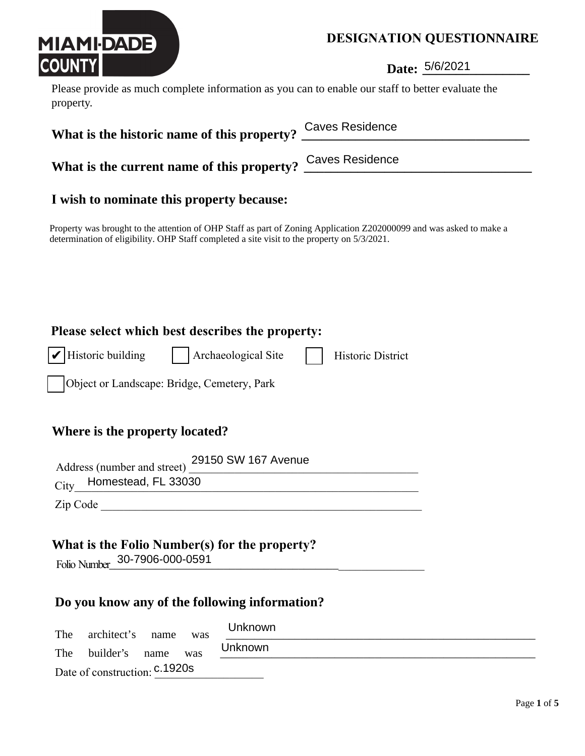

Date of construction: c.1920s

## **DESIGNATION QUESTIONNAIRE**

**Date:** 5/6/2021

Please provide as much complete information as you can to enable our staff to better evaluate the property.

| What is the historic name of this property?                                                                                                                                                                        | <b>Caves Residence</b>   |
|--------------------------------------------------------------------------------------------------------------------------------------------------------------------------------------------------------------------|--------------------------|
| What is the current name of this property?                                                                                                                                                                         | <b>Caves Residence</b>   |
| I wish to nominate this property because:                                                                                                                                                                          |                          |
| Property was brought to the attention of OHP Staff as part of Zoning Application Z202000099 and was asked to make a<br>determination of eligibility. OHP Staff completed a site visit to the property on 5/3/2021. |                          |
|                                                                                                                                                                                                                    |                          |
|                                                                                                                                                                                                                    |                          |
| Please select which best describes the property:                                                                                                                                                                   |                          |
| Historic building<br>    Archaeological Site                                                                                                                                                                       | <b>Historic District</b> |
| Object or Landscape: Bridge, Cemetery, Park                                                                                                                                                                        |                          |
| Where is the property located?                                                                                                                                                                                     |                          |
| 29150 SW 167 Avenue<br>Address (number and street)                                                                                                                                                                 |                          |
| Homestead, FL 33030<br>City                                                                                                                                                                                        |                          |
|                                                                                                                                                                                                                    |                          |
| What is the Folio Number(s) for the property?<br>Folio Number 30-7906-000-0591                                                                                                                                     |                          |
| Do you know any of the following information?                                                                                                                                                                      |                          |
| Unknown<br>architect's<br>The<br>name<br>was                                                                                                                                                                       |                          |
| Unknown<br>builder's<br>The<br>name<br>was                                                                                                                                                                         |                          |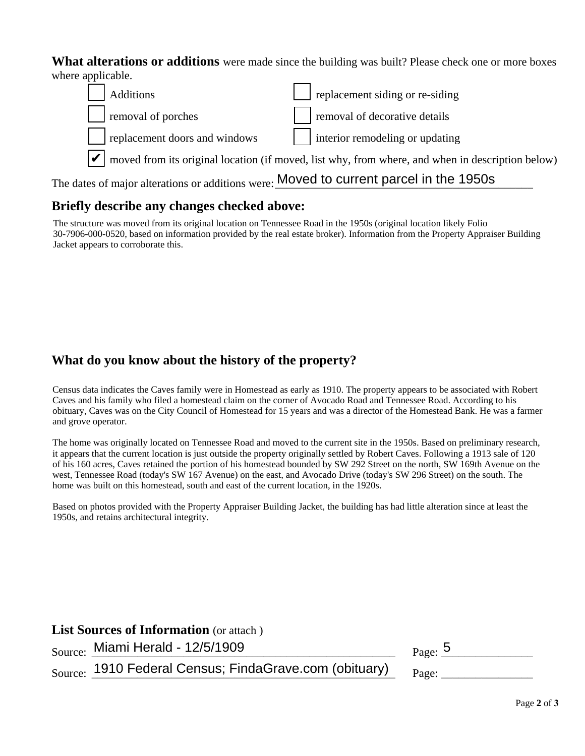**What alterations or additions** were made since the building was built? Please check one or more boxes where applicable.



### **Briefly describe any changes checked above:**

The structure was moved from its original location on Tennessee Road in the 1950s (original location likely Folio 30-7906-000-0520, based on information provided by the real estate broker). Information from the Property Appraiser Building Jacket appears to corroborate this.

## **What do you know about the history of the property?**

Census data indicates the Caves family were in Homestead as early as 1910. The property appears to be associated with Robert Caves and his family who filed a homestead claim on the corner of Avocado Road and Tennessee Road. According to his obituary, Caves was on the City Council of Homestead for 15 years and was a director of the Homestead Bank. He was a farmer and grove operator.

The home was originally located on Tennessee Road and moved to the current site in the 1950s. Based on preliminary research, it appears that the current location is just outside the property originally settled by Robert Caves. Following a 1913 sale of 120 of his 160 acres, Caves retained the portion of his homestead bounded by SW 292 Street on the north, SW 169th Avenue on the west, Tennessee Road (today's SW 167 Avenue) on the east, and Avocado Drive (today's SW 296 Street) on the south. The home was built on this homestead, south and east of the current location, in the 1920s.

Based on photos provided with the Property Appraiser Building Jacket, the building has had little alteration since at least the 1950s, and retains architectural integrity.

### **List Sources of Information** (or attach )

 $S_{\text{ource}}: \text{ Miami } \text{Herald - } 12/5/1909$  Page:  $\frac{5}{5}$ 

| Page: | IJ |  |  |  |  |
|-------|----|--|--|--|--|
|-------|----|--|--|--|--|

 $_{\rm Source:}$  1910 Federal Census; FindaGrave.com (obituary)  $_{\rm Page:}$  \_\_\_\_\_\_\_\_\_\_\_\_

| age. |  |  |  |
|------|--|--|--|
|      |  |  |  |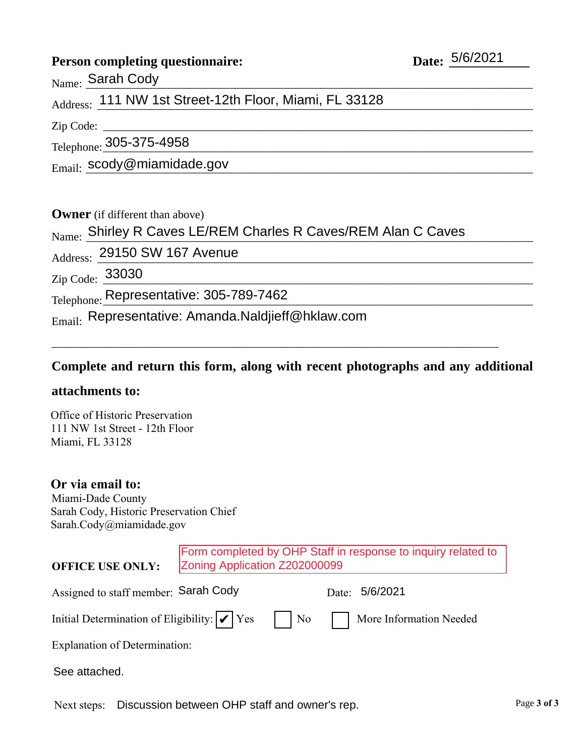### **Person completing questionnaire:**

 $N_{\rm ame}$ :  $\frac{\rm Sarah~Cody}{}$ 

## Address: 111 NW 1st Street-12th Floor, Miami, FL 33128

Zip Code:

Telephone: 305-375-4958

 $_{\rm Email:}$   $_{\rm social:}$   $_{\rm scody}$ @miamidade.gov

**Owner** (if different than above)

# $_{\rm Name:}$  Shirley R Caves LE/REM Charles R Caves/REM Alan C Caves

Address: 29150 SW 167 Avenue

 $_{\rm Zip\ Code:}$   $\frac{33030}{\sqrt{33030}}$ 

Telephone: Representative: 305-789-7462

 $_{\rm Email:}$  Representative: Amanda.Naldjieff@hklaw.com

### **Complete and return this form, along with recent photographs and any additional**

\_\_\_\_\_\_\_\_\_\_\_\_\_\_\_\_\_\_\_\_\_\_\_\_\_\_\_\_\_\_\_\_\_\_\_\_\_\_\_\_\_\_\_\_\_\_\_\_\_\_\_\_\_\_\_\_\_\_\_\_\_\_\_\_\_\_\_\_\_\_\_\_\_\_\_\_\_\_

### **attachments to:**

Office of Historic Preservation 111 NW 1st Street - 12th Floor Miami, FL 33128

### **Or via email to:**

Miami-Dade County Sarah Cody, Historic Preservation Chief Sarah.Cody@miamidade.gov

| <b>OFFICE USE ONLY:</b>                                     | Form completed by OHP Staff in response to inquiry related to<br>Zoning Application Z202000099 |    |                         |
|-------------------------------------------------------------|------------------------------------------------------------------------------------------------|----|-------------------------|
| Assigned to staff member: Sarah Cody                        |                                                                                                |    | 5/6/2021<br>Date:       |
| Initial Determination of Eligibility: $  \mathcal{V}  $ Yes |                                                                                                | No | More Information Needed |
| <b>Explanation of Determination:</b>                        |                                                                                                |    |                         |
| See attached.                                               |                                                                                                |    |                         |

Next steps: Discussion between OHP staff and owner's rep.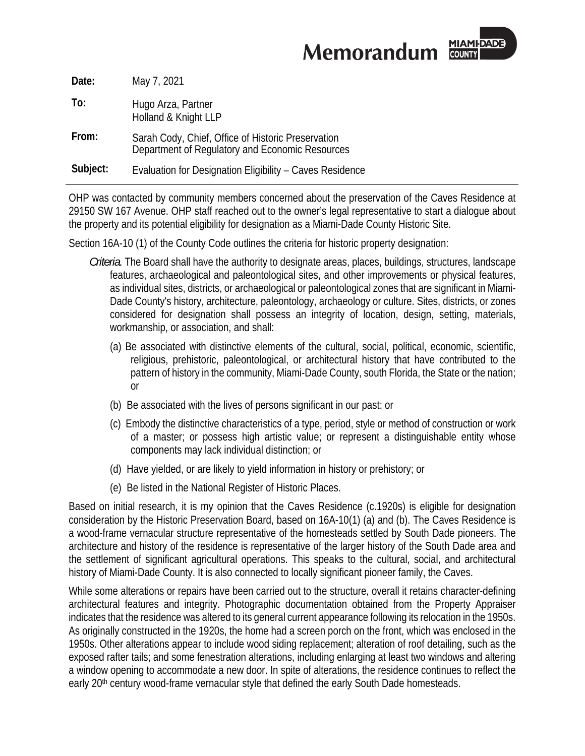MIAMI-DADE **Memorandum** 

| Date:    | May 7, 2021                                                                                           |
|----------|-------------------------------------------------------------------------------------------------------|
| To:      | Hugo Arza, Partner<br>Holland & Knight LLP                                                            |
| From:    | Sarah Cody, Chief, Office of Historic Preservation<br>Department of Regulatory and Economic Resources |
| Subject: | Evaluation for Designation Eligibility - Caves Residence                                              |

OHP was contacted by community members concerned about the preservation of the Caves Residence at 29150 SW 167 Avenue. OHP staff reached out to the owner's legal representative to start a dialogue about the property and its potential eligibility for designation as a Miami-Dade County Historic Site.

Section 16A-10 (1) of the County Code outlines the criteria for historic property designation:

- *Criteria.* The Board shall have the authority to designate areas, places, buildings, structures, landscape features, archaeological and paleontological sites, and other improvements or physical features, as individual sites, districts, or archaeological or paleontological zones that are significant in Miami-Dade County's history, architecture, paleontology, archaeology or culture. Sites, districts, or zones considered for designation shall possess an integrity of location, design, setting, materials, workmanship, or association, and shall:
	- (a) Be associated with distinctive elements of the cultural, social, political, economic, scientific, religious, prehistoric, paleontological, or architectural history that have contributed to the pattern of history in the community, Miami-Dade County, south Florida, the State or the nation; or
	- (b) Be associated with the lives of persons significant in our past; or
	- (c) Embody the distinctive characteristics of a type, period, style or method of construction or work of a master; or possess high artistic value; or represent a distinguishable entity whose components may lack individual distinction; or
	- (d) Have yielded, or are likely to yield information in history or prehistory; or
	- (e) Be listed in the National Register of Historic Places.

Based on initial research, it is my opinion that the Caves Residence (c.1920s) is eligible for designation consideration by the Historic Preservation Board, based on 16A-10(1) (a) and (b). The Caves Residence is a wood-frame vernacular structure representative of the homesteads settled by South Dade pioneers. The architecture and history of the residence is representative of the larger history of the South Dade area and the settlement of significant agricultural operations. This speaks to the cultural, social, and architectural history of Miami-Dade County. It is also connected to locally significant pioneer family, the Caves.

While some alterations or repairs have been carried out to the structure, overall it retains character-defining architectural features and integrity. Photographic documentation obtained from the Property Appraiser indicates that the residence was altered to its general current appearance following its relocation in the 1950s. As originally constructed in the 1920s, the home had a screen porch on the front, which was enclosed in the 1950s. Other alterations appear to include wood siding replacement; alteration of roof detailing, such as the exposed rafter tails; and some fenestration alterations, including enlarging at least two windows and altering a window opening to accommodate a new door. In spite of alterations, the residence continues to reflect the early 20<sup>th</sup> century wood-frame vernacular style that defined the early South Dade homesteads.